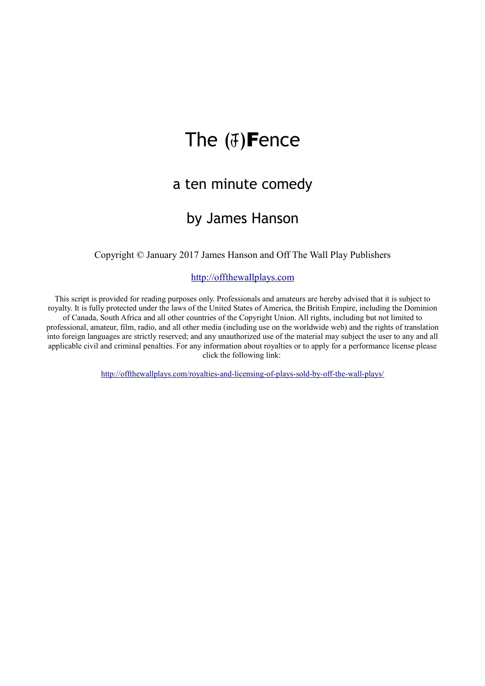# The  $(J)$ Fence

## a ten minute comedy

## by James Hanson

Copyright © January 2017 James Hanson and Off The Wall Play Publishers

### [http://offthewallplays.com](http://offthewallplays.com/)

This script is provided for reading purposes only. Professionals and amateurs are hereby advised that it is subject to royalty. It is fully protected under the laws of the United States of America, the British Empire, including the Dominion of Canada, South Africa and all other countries of the Copyright Union. All rights, including but not limited to professional, amateur, film, radio, and all other media (including use on the worldwide web) and the rights of translation into foreign languages are strictly reserved; and any unauthorized use of the material may subject the user to any and all applicable civil and criminal penalties. For any information about royalties or to apply for a performance license please click the following link:

<http://offthewallplays.com/royalties-and-licensing-of-plays-sold-by-off-the-wall-plays/>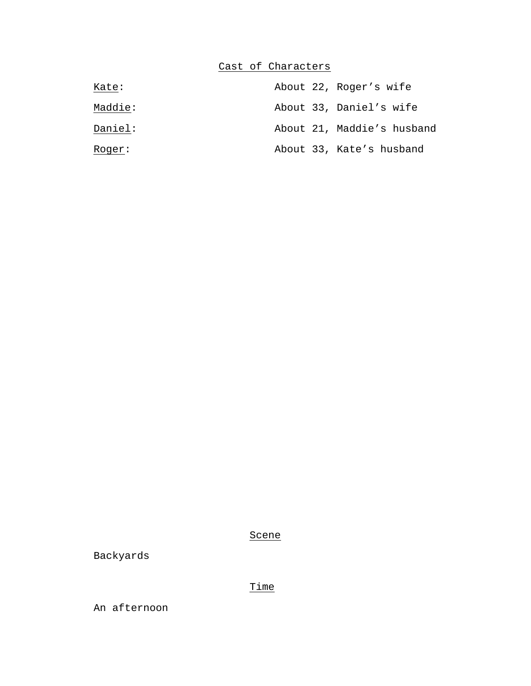### Cast of Characters

| Kate:   |  | About 22, Roger's wife     |
|---------|--|----------------------------|
| Maddie: |  | About 33, Daniel's wife    |
| Daniel: |  | About 21, Maddie's husband |
| Roger:  |  | About 33, Kate's husband   |

Scene

Backyards

Time

An afternoon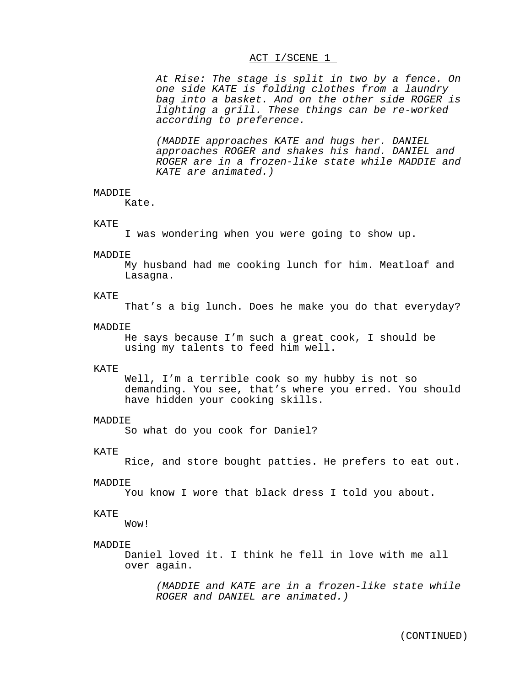#### ACT I/SCENE 1

*At Rise: The stage is split in two by a fence. On one side KATE is folding clothes from a laundry bag into a basket. And on the other side ROGER is lighting a grill. These things can be re-worked according to preference.*

*(MADDIE approaches KATE and hugs her. DANIEL approaches ROGER and shakes his hand. DANIEL and ROGER are in a frozen-like state while MADDIE and KATE are animated.)*

#### MADDIE.

Kate.

#### KATE

I was wondering when you were going to show up.

#### MADDIE

My husband had me cooking lunch for him. Meatloaf and Lasagna.

#### KATE

That's a big lunch. Does he make you do that everyday?

#### MADDIE

He says because I'm such a great cook, I should be using my talents to feed him well.

#### KATE

Well, I'm a terrible cook so my hubby is not so demanding. You see, that's where you erred. You should have hidden your cooking skills.

#### MADDIE

So what do you cook for Daniel?

#### KATE

Rice, and store bought patties. He prefers to eat out.

#### MADDIE

You know I wore that black dress I told you about.

#### KATE

Wow!

#### MADDIE

Daniel loved it. I think he fell in love with me all over again.

*(MADDIE and KATE are in a frozen-like state while ROGER and DANIEL are animated.)*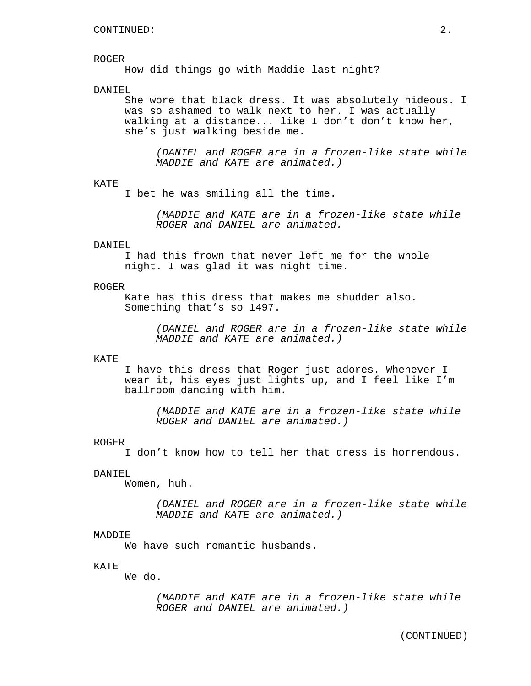#### ROGER

How did things go with Maddie last night?

#### DANIEL

She wore that black dress. It was absolutely hideous. I was so ashamed to walk next to her. I was actually walking at a distance... like I don't don't know her, she's just walking beside me.

*(DANIEL and ROGER are in a frozen-like state while MADDIE and KATE are animated.)*

#### KATE

I bet he was smiling all the time.

*(MADDIE and KATE are in a frozen-like state while ROGER and DANIEL are animated.*

#### DANIEL

I had this frown that never left me for the whole night. I was glad it was night time.

#### ROGER

Kate has this dress that makes me shudder also. Something that's so 1497.

> *(DANIEL and ROGER are in a frozen-like state while MADDIE and KATE are animated.)*

#### KATE

I have this dress that Roger just adores. Whenever I wear it, his eyes just lights up, and I feel like I'm ballroom dancing with him.

*(MADDIE and KATE are in a frozen-like state while ROGER and DANIEL are animated.)*

#### ROGER

I don't know how to tell her that dress is horrendous.

#### DANIEL

Women, huh.

*(DANIEL and ROGER are in a frozen-like state while MADDIE and KATE are animated.)*

#### MADDIE

We have such romantic husbands.

#### KATE

We do.

*(MADDIE and KATE are in a frozen-like state while ROGER and DANIEL are animated.)*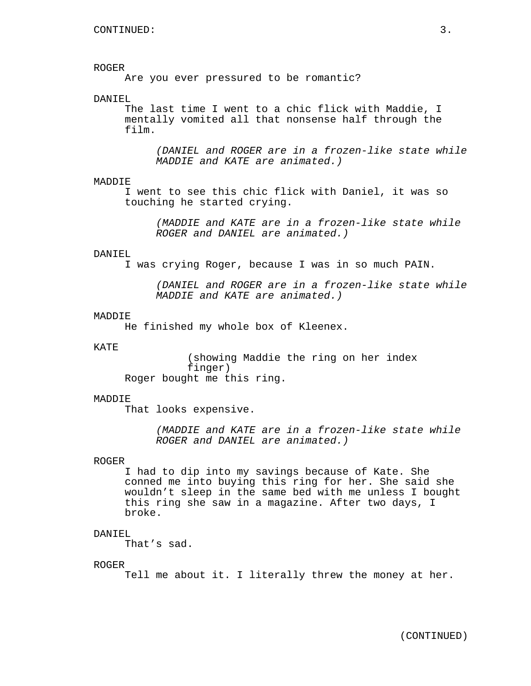#### ROGER

Are you ever pressured to be romantic?

#### DANIEL

The last time I went to a chic flick with Maddie, I mentally vomited all that nonsense half through the film.

*(DANIEL and ROGER are in a frozen-like state while MADDIE and KATE are animated.)*

#### MADDIE

I went to see this chic flick with Daniel, it was so touching he started crying.

*(MADDIE and KATE are in a frozen-like state while ROGER and DANIEL are animated.)*

#### DANIEL

I was crying Roger, because I was in so much PAIN.

*(DANIEL and ROGER are in a frozen-like state while MADDIE and KATE are animated.)*

#### **MADDIE**

He finished my whole box of Kleenex.

#### KATE

(showing Maddie the ring on her index finger) Roger bought me this ring.

#### MADDIE

That looks expensive.

*(MADDIE and KATE are in a frozen-like state while ROGER and DANIEL are animated.)*

#### ROGER

I had to dip into my savings because of Kate. She conned me into buying this ring for her. She said she wouldn't sleep in the same bed with me unless I bought this ring she saw in a magazine. After two days, I broke.

#### DANIEL

That's sad.

#### ROGER

Tell me about it. I literally threw the money at her.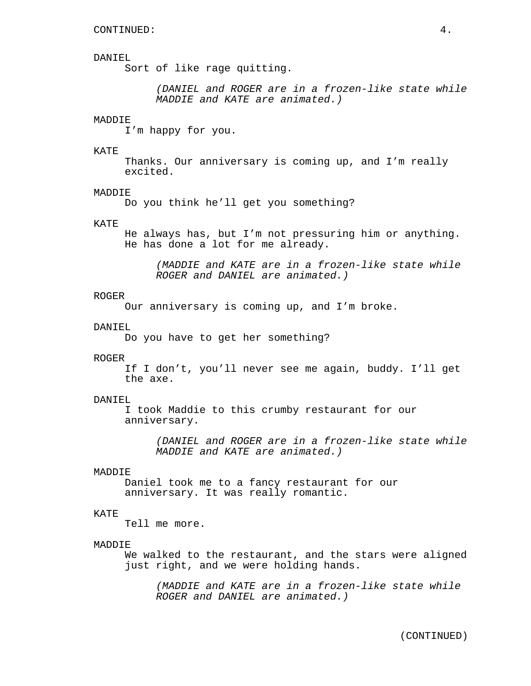#### DANIEL

Sort of like rage quitting.

*(DANIEL and ROGER are in a frozen-like state while MADDIE and KATE are animated.)*

#### MADDIE

I'm happy for you.

#### KATE

Thanks. Our anniversary is coming up, and I'm really excited.

#### MADDIE

Do you think he'll get you something?

#### KATE

He always has, but I'm not pressuring him or anything. He has done a lot for me already.

*(MADDIE and KATE are in a frozen-like state while ROGER and DANIEL are animated.)*

#### ROGER

Our anniversary is coming up, and I'm broke.

#### DANIEL

Do you have to get her something?

#### ROGER

If I don't, you'll never see me again, buddy. I'll get the axe.

#### DANIEL

I took Maddie to this crumby restaurant for our anniversary.

> *(DANIEL and ROGER are in a frozen-like state while MADDIE and KATE are animated.)*

#### MADDIE

Daniel took me to a fancy restaurant for our anniversary. It was really romantic.

#### KATE

Tell me more.

#### MADDIE

We walked to the restaurant, and the stars were aligned just right, and we were holding hands.

*(MADDIE and KATE are in a frozen-like state while ROGER and DANIEL are animated.)*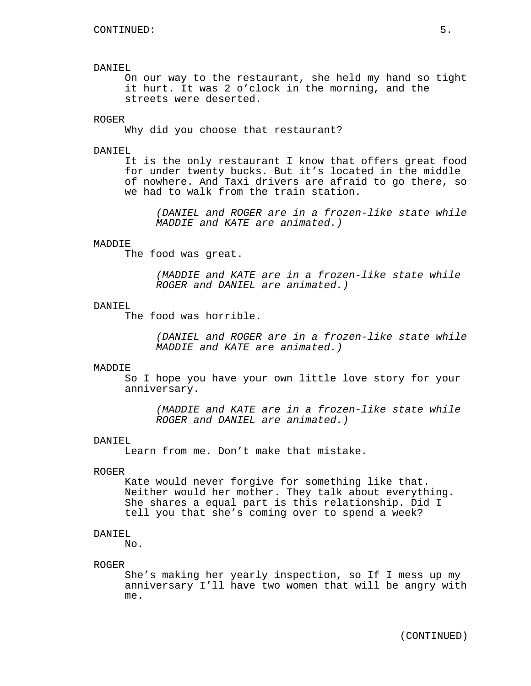#### DANIEL

On our way to the restaurant, she held my hand so tight it hurt. It was 2 o'clock in the morning, and the streets were deserted.

#### ROGER

Why did you choose that restaurant?

#### DANIEL

It is the only restaurant I know that offers great food for under twenty bucks. But it's located in the middle of nowhere. And Taxi drivers are afraid to go there, so we had to walk from the train station.

*(DANIEL and ROGER are in a frozen-like state while MADDIE and KATE are animated.)*

#### MADDIE

The food was great.

*(MADDIE and KATE are in a frozen-like state while ROGER and DANIEL are animated.)*

#### DANIEL

The food was horrible.

*(DANIEL and ROGER are in a frozen-like state while MADDIE and KATE are animated.)*

#### MADDIE

So I hope you have your own little love story for your anniversary.

*(MADDIE and KATE are in a frozen-like state while ROGER and DANIEL are animated.)*

#### DANIEL

Learn from me. Don't make that mistake.

#### ROGER

Kate would never forgive for something like that. Neither would her mother. They talk about everything. She shares a equal part is this relationship. Did I tell you that she's coming over to spend a week?

#### DANIEL

No.

#### ROGER

She's making her yearly inspection, so If I mess up my anniversary I'll have two women that will be angry with me.